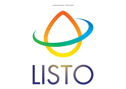Corporate identity ' LISTO Project'

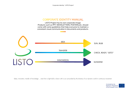### CORPORATE IDENTITY MANUAL

LISTO Project has its own corporate image. Products such as PPT, NEWSLETTERS, POSTERS,etc, should come with some guidelines that help everyone to maintain a consistant visual communication in documents and products.



Ideas, innovation, transfer of knowledge ... arise from a light bulb or dawn with a sun surrounded by the diversity of our dynamic world in continuous movement.

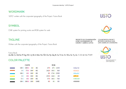### WORDMARK

'LISTO' written with the corporate typography of the Project: Futura Book

# **SYMBOL**

CMK system for printing works and RGB system for web

#### **TAGLINE**

Written with the corporate typography of the Project: Futura Book

Futura Book Aa Bb Cc Dd Ee Ff Gg Hh Ii Jj Kk Ll Mm Nn Ññ Oo Pp Qq Rr Ss Tt Uu Vv Ww Xx Yy Zz 1 2 3 4 5 6 7 8 9

## COLOR PALETTE

| <b>CMYK</b>       |              |      |    | <b>RGB</b>    |    |               |
|-------------------|--------------|------|----|---------------|----|---------------|
| 100 C 100M 16Y 4K |              |      |    | 47R 47G 125B  |    | #2f2e7d       |
| 0 C 75M 100Y 0K   |              |      |    | 242R 101G 34B |    | #f16521       |
| 100 C             | 0M 100Y 0K   |      |    | OR 174G 239B  |    | #00adef       |
| 0<                | $0M$ 100Y 0K |      |    | 255R 242G 0B  |    | <b>#11100</b> |
| 72 C              | $0M$ 100Y 0K |      |    | 57R 181G 74B  |    | #38b449       |
| 100 C 100M 100Y   |              | 100K | 0R | 0G            | 0B | #000000       |

PROYECTO DE COLABORACIÓN **ENTRE UNIVERSIDADES DE** EUROPA Y AMÉRICA LATINA

COLLABORATION PROJECT BETWEEN EUROPEAN AND LATIN AMERICAN UNIVERSITIES



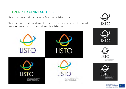# USE AND REPRESENTATION BRAND

The brand is composed in all its representations of wordbrand, symbol and tagline.

The color mark will go mainly on a white or light background, but it can also be used on dark backgrounds, this time with the wordbrand and tagline in white and the symbol in color.



PROVECTO DE COUADRACIÓN<br>ENÉRE UNIVERSIDADES DE<br>EUROPA Y AMÉRICA LATINA

**CTO DE COLABORACIÓN** LININERSIDADIES DE<br>IN.Y ANGRICA LIATINA

Co-funded by the Erasmus+ Programme of the European Union

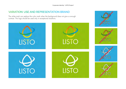# VARIATION: USE AND REPRESENTATION BRAND

The white mark can replace the color mark when the background does not give us enough contrast. This logo should be used only in exceptional situations.